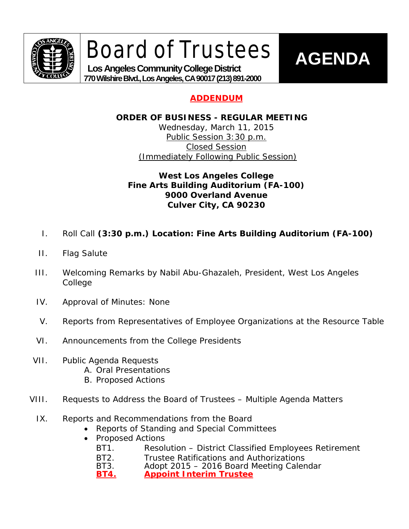

Board of Trustees

 **Los Angeles Community College District 770 Wilshire Blvd., Los Angeles, CA 90017 (213) 891-2000**

## **AGENDA**

## **ADDENDUM**

### **ORDER OF BUSINESS - REGULAR MEETING**

Wednesday, March 11, 2015 Public Session 3:30 p.m. Closed Session (Immediately Following Public Session)

### **West Los Angeles College Fine Arts Building Auditorium (FA-100) 9000 Overland Avenue Culver City, CA 90230**

- I. Roll Call **(3:30 p.m.) Location: Fine Arts Building Auditorium (FA-100)**
- II. Flag Salute
- III. Welcoming Remarks by Nabil Abu-Ghazaleh, President, West Los Angeles College
- IV. Approval of Minutes: None
- V. Reports from Representatives of Employee Organizations at the Resource Table
- VI. Announcements from the College Presidents
- VII. Public Agenda Requests
	- A. Oral Presentations
	- B. Proposed Actions
- VIII. Requests to Address the Board of Trustees Multiple Agenda Matters
	- IX. Reports and Recommendations from the Board
		- Reports of Standing and Special Committees
		- Proposed Actions
			- BT1. Resolution District Classified Employees Retirement
			- BT2. Trustee Ratifications and Authorizations<br>BT3. Adopt 2015 2016 Board Meeting Caler
			- Adopt 2015 2016 Board Meeting Calendar

**BT4. Appoint Interim Trustee**